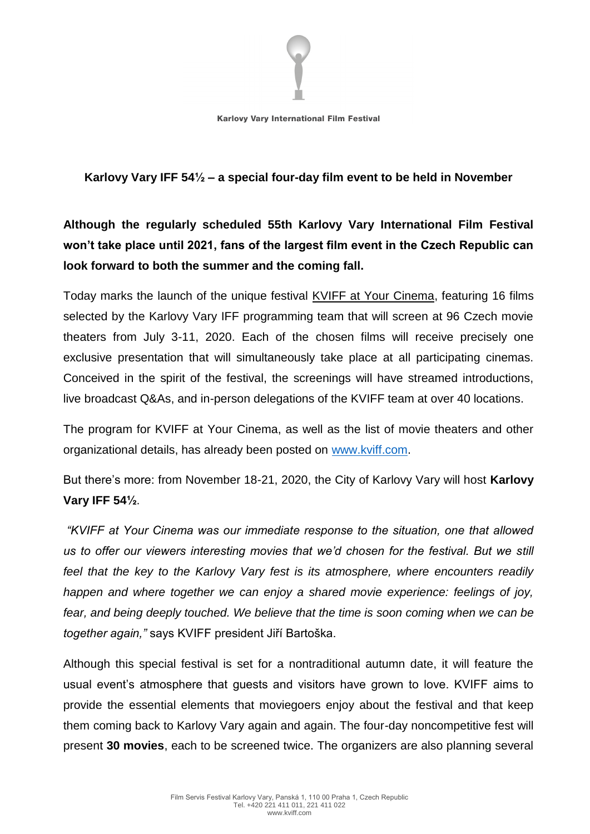

**Karlovy Vary International Film Festival** 

## **Karlovy Vary IFF 54½ – a special four-day film event to be held in November**

## **Although the regularly scheduled 55th Karlovy Vary International Film Festival won't take place until 2021, fans of the largest film event in the Czech Republic can look forward to both the summer and the coming fall.**

Today marks the launch of the unique festival KVIFF at Your Cinema, featuring 16 films selected by the Karlovy Vary IFF programming team that will screen at 96 Czech movie theaters from July 3-11, 2020. Each of the chosen films will receive precisely one exclusive presentation that will simultaneously take place at all participating cinemas. Conceived in the spirit of the festival, the screenings will have streamed introductions, live broadcast Q&As, and in-person delegations of the KVIFF team at over 40 locations.

The program for KVIFF at Your Cinema, as well as the list of movie theaters and other organizational details, has already been posted on [www.kviff.com.](http://www.kviff.com/)

But there's more: from November 18-21, 2020, the City of Karlovy Vary will host **Karlovy Vary IFF 54½**.

*"KVIFF at Your Cinema was our immediate response to the situation, one that allowed us to offer our viewers interesting movies that we'd chosen for the festival. But we still feel that the key to the Karlovy Vary fest is its atmosphere, where encounters readily happen and where together we can enjoy a shared movie experience: feelings of joy,*  fear, and being deeply touched. We believe that the time is soon coming when we can be *together again,"* says KVIFF president Jiří Bartoška.

Although this special festival is set for a nontraditional autumn date, it will feature the usual event's atmosphere that guests and visitors have grown to love. KVIFF aims to provide the essential elements that moviegoers enjoy about the festival and that keep them coming back to Karlovy Vary again and again. The four-day noncompetitive fest will present **30 movies**, each to be screened twice. The organizers are also planning several